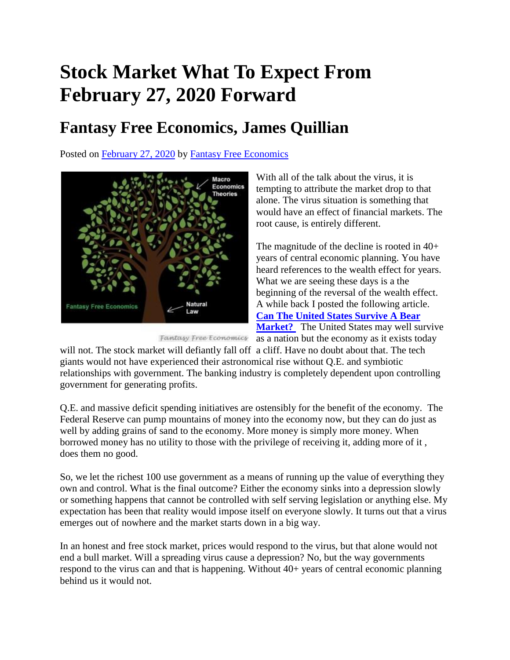## **Stock Market What To Expect From February 27, 2020 Forward**

## **Fantasy Free Economics, James Quillian**

Posted on [February 27, 2020](http://quillian.net/blog/stock-market-what-to-expect-from-february-27-2020-forward/) by [Fantasy Free Economics](http://quillian.net/blog/author/james-quillian/)



With all of the talk about the virus, it is tempting to attribute the market drop to that alone. The virus situation is something that would have an effect of financial markets. The root cause, is entirely different.

The magnitude of the decline is rooted in 40+ years of central economic planning. You have heard references to the wealth effect for years. What we are seeing these days is a the beginning of the reversal of the wealth effect. A while back I posted the following article. **[Can The United States Survive A Bear](http://quillian.net/blog/can-the-united-states-survive-a-bear-market/)  [Market?](http://quillian.net/blog/can-the-united-states-survive-a-bear-market/)** The United States may well survive

Fantasy Free Economics as a nation but the economy as it exists today

will not. The stock market will defiantly fall off a cliff. Have no doubt about that. The tech giants would not have experienced their astronomical rise without Q.E. and symbiotic relationships with government. The banking industry is completely dependent upon controlling government for generating profits.

Q.E. and massive deficit spending initiatives are ostensibly for the benefit of the economy. The Federal Reserve can pump mountains of money into the economy now, but they can do just as well by adding grains of sand to the economy. More money is simply more money. When borrowed money has no utility to those with the privilege of receiving it, adding more of it , does them no good.

So, we let the richest 100 use government as a means of running up the value of everything they own and control. What is the final outcome? Either the economy sinks into a depression slowly or something happens that cannot be controlled with self serving legislation or anything else. My expectation has been that reality would impose itself on everyone slowly. It turns out that a virus emerges out of nowhere and the market starts down in a big way.

In an honest and free stock market, prices would respond to the virus, but that alone would not end a bull market. Will a spreading virus cause a depression? No, but the way governments respond to the virus can and that is happening. Without 40+ years of central economic planning behind us it would not.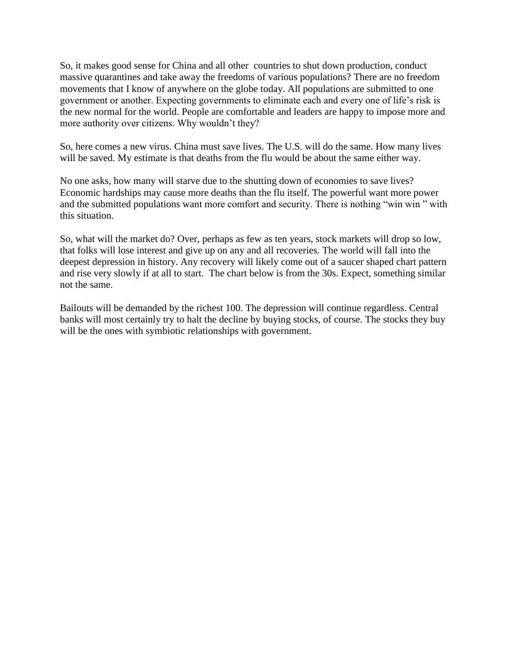So, it makes good sense for China and all other countries to shut down production, conduct massive quarantines and take away the freedoms of various populations? There are no freedom movements that I know of anywhere on the globe today. All populations are submitted to one government or another. Expecting governments to eliminate each and every one of life's risk is the new normal for the world. People are comfortable and leaders are happy to impose more and more authority over citizens. Why wouldn't they?

So, here comes a new virus. China must save lives. The U.S. will do the same. How many lives will be saved. My estimate is that deaths from the flu would be about the same either way.

No one asks, how many will starve due to the shutting down of economies to save lives? Economic hardships may cause more deaths than the flu itself. The powerful want more power and the submitted populations want more comfort and security. There is nothing "win win " with this situation.

So, what will the market do? Over, perhaps as few as ten years, stock markets will drop so low, that folks will lose interest and give up on any and all recoveries. The world will fall into the deepest depression in history. Any recovery will likely come out of a saucer shaped chart pattern and rise very slowly if at all to start. The chart below is from the 30s. Expect, something similar not the same.

Bailouts will be demanded by the richest 100. The depression will continue regardless. Central banks will most certainly try to halt the decline by buying stocks, of course. The stocks they buy will be the ones with symbiotic relationships with government.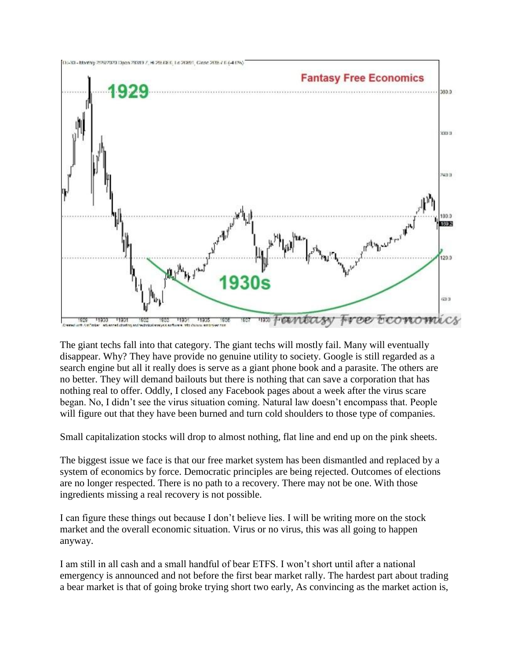

The giant techs fall into that category. The giant techs will mostly fail. Many will eventually disappear. Why? They have provide no genuine utility to society. Google is still regarded as a search engine but all it really does is serve as a giant phone book and a parasite. The others are no better. They will demand bailouts but there is nothing that can save a corporation that has nothing real to offer. Oddly, I closed any Facebook pages about a week after the virus scare began. No, I didn't see the virus situation coming. Natural law doesn't encompass that. People will figure out that they have been burned and turn cold shoulders to those type of companies.

Small capitalization stocks will drop to almost nothing, flat line and end up on the pink sheets.

The biggest issue we face is that our free market system has been dismantled and replaced by a system of economics by force. Democratic principles are being rejected. Outcomes of elections are no longer respected. There is no path to a recovery. There may not be one. With those ingredients missing a real recovery is not possible.

I can figure these things out because I don't believe lies. I will be writing more on the stock market and the overall economic situation. Virus or no virus, this was all going to happen anyway.

I am still in all cash and a small handful of bear ETFS. I won't short until after a national emergency is announced and not before the first bear market rally. The hardest part about trading a bear market is that of going broke trying short two early, As convincing as the market action is,